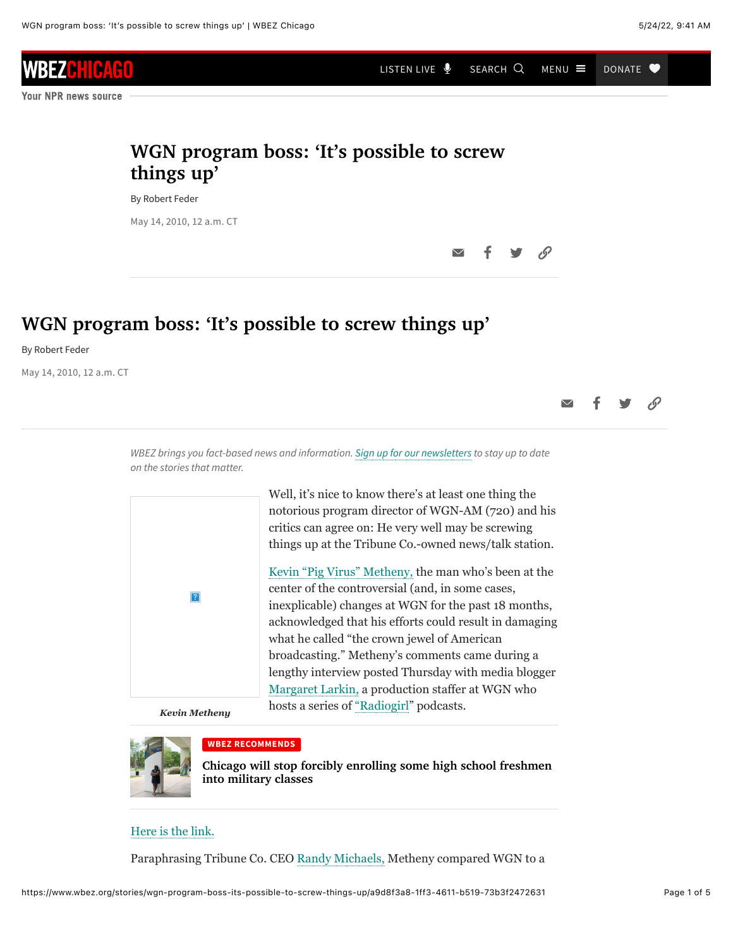# WBEZ

**Your NPR news source** 

## **WGN program boss: 'It's possible to screw things up'**

By Robert Feder

May 14, 2010, 12 a.m. CT

### **WGN program boss: 'It's possible to screw things up'**

By Robert Feder

May 14, 2010, 12 a.m. CT

 $\overline{\vee}$ 

[LISTEN LIVE](https://www.wbez.org/stories/wgn-program-boss-its-possible-to-screw-things-up/a9d8f3a8-1ff3-4611-b519-73b3f2472631#player)  $\bigcirc$  search  $Q$  menu  $\equiv$  donate  $\bullet$ 

*WBEZ brings you fact-based news and information. [Sign up for our newsletters](https://www.wbez.org/newsletters) to stay up to date on the stories that matter.*

| $\sqrt{2}$                                                                    | Well, it's nice to know there's at least one thing the<br>notorious program director of WGN-AM (720) and his<br>critics can agree on: He very well may be screwing<br>things up at the Tribune Co.-owned news/talk station.                                                                                                                                                                                                               |
|-------------------------------------------------------------------------------|-------------------------------------------------------------------------------------------------------------------------------------------------------------------------------------------------------------------------------------------------------------------------------------------------------------------------------------------------------------------------------------------------------------------------------------------|
|                                                                               | Kevin "Pig Virus" Metheny, the man who's been at the<br>center of the controversial (and, in some cases,<br>inexplicable) changes at WGN for the past 18 months,<br>acknowledged that his efforts could result in damaging<br>what he called "the crown jewel of American"<br>broadcasting." Metheny's comments came during a<br>lengthy interview posted Thursday with media blogger<br>Margaret Larkin, a production staffer at WGN who |
| $\mathbf{r}$ $\mathbf{r}$ $\mathbf{r}$ $\mathbf{r}$ $\mathbf{r}$ $\mathbf{r}$ | hosts a series of "Radiogirl" podcasts.                                                                                                                                                                                                                                                                                                                                                                                                   |

*Kevin Metheny*



#### **WBEZ RECOMMENDS**

**[Chicago will stop forcibly enrolling some high school freshmen](https://www.wbez.org/stories/chicago-public-schools-to-revamp-jrotc-military-program-after-inspector-general-probe/fb865936-1955-4e09-9e83-2eb244db4379) into military classes**

### [Here is the link.](http://radiogirl.us/audio/RG23.MP3)

Paraphrasing Tribune Co. CEO [Randy Michaels,](https://www.wbez.org/feder/2010/03/memo-puts-wgn-news-staffers-at-a-loss-for-words/17374) Metheny compared WGN to a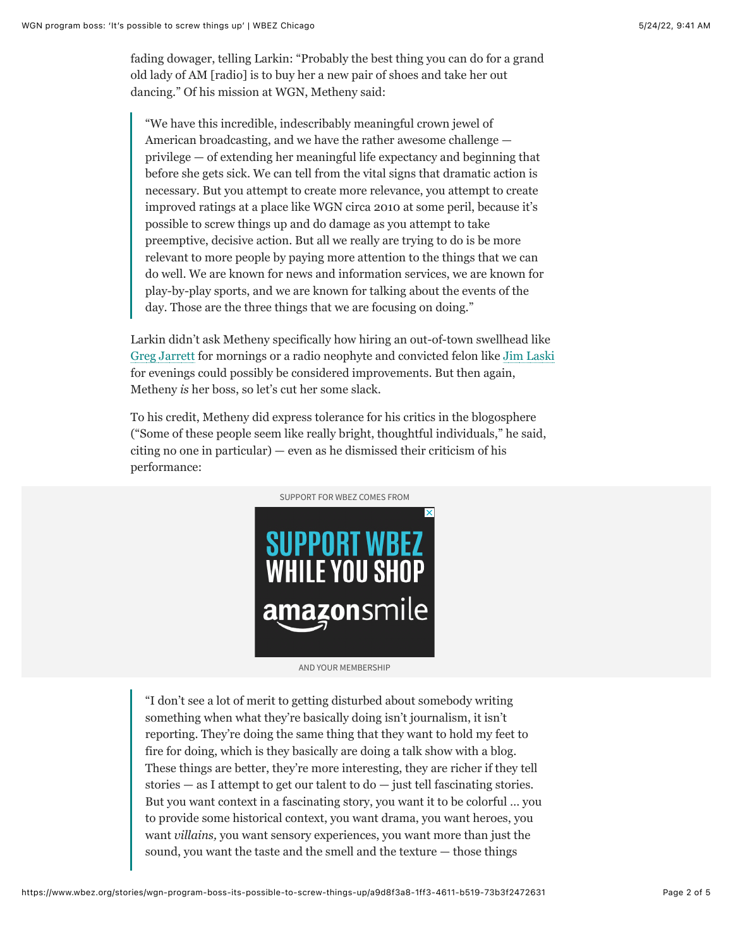fading dowager, telling Larkin: "Probably the best thing you can do for a grand old lady of AM [radio] is to buy her a new pair of shoes and take her out dancing." Of his mission at WGN, Metheny said:

"We have this incredible, indescribably meaningful crown jewel of American broadcasting, and we have the rather awesome challenge privilege — of extending her meaningful life expectancy and beginning that before she gets sick. We can tell from the vital signs that dramatic action is necessary. But you attempt to create more relevance, you attempt to create improved ratings at a place like WGN circa 2010 at some peril, because it's possible to screw things up and do damage as you attempt to take preemptive, decisive action. But all we really are trying to do is be more relevant to more people by paying more attention to the things that we can do well. We are known for news and information services, we are known for play-by-play sports, and we are known for talking about the events of the day. Those are the three things that we are focusing on doing."

Larkin didn't ask Metheny specifically how hiring an out-of-town swellhead like [Greg Jarrett](https://www.wbez.org/feder/2010/03/whos-on-first-in-radio-it-depends-on-who-keeps-score/16486) for mornings or a radio neophyte and convicted felon like [Jim Laski](https://www.wbez.org/feder/2010/03/its-criminal-wgn-expands-sports-central-into-oblivion/19061) for evenings could possibly be considered improvements. But then again, Metheny *is* her boss, so let's cut her some slack.

To his credit, Metheny did express tolerance for his critics in the blogosphere ("Some of these people seem like really bright, thoughtful individuals," he said, citing no one in particular) — even as he dismissed their criticism of his performance:



AND YOUR MEMBERSHIP

"I don't see a lot of merit to getting disturbed about somebody writing something when what they're basically doing isn't journalism, it isn't reporting. They're doing the same thing that they want to hold my feet to fire for doing, which is they basically are doing a talk show with a blog. These things are better, they're more interesting, they are richer if they tell stories  $-$  as I attempt to get our talent to  $d\sigma$   $-$  just tell fascinating stories. But you want context in a fascinating story, you want it to be colorful … you to provide some historical context, you want drama, you want heroes, you want *villains,* you want sensory experiences, you want more than just the sound, you want the taste and the smell and the texture — those things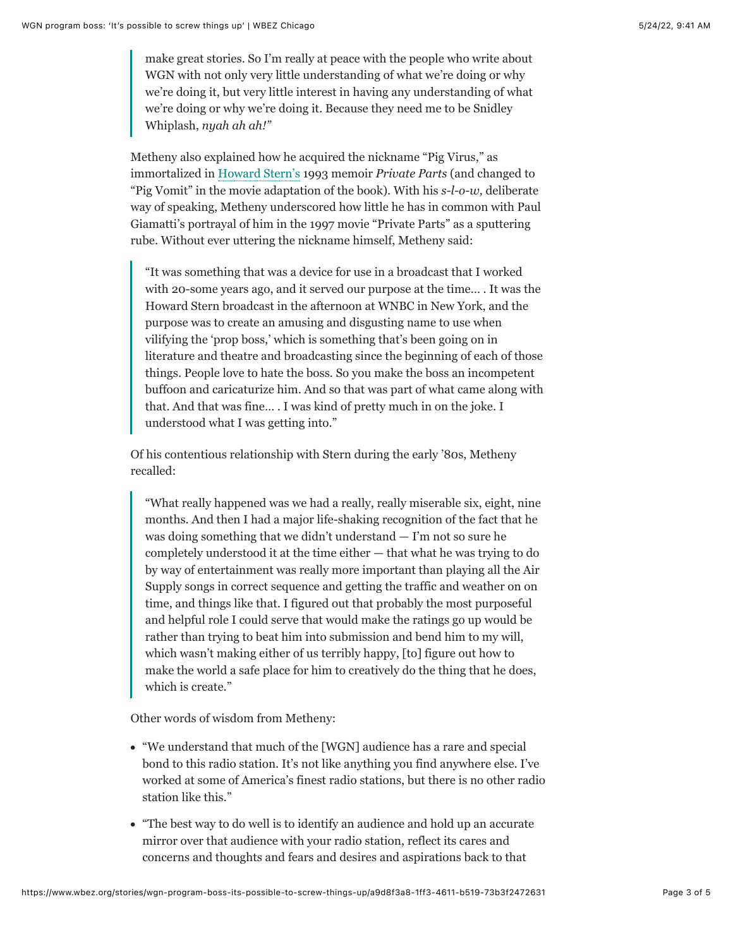make great stories. So I'm really at peace with the people who write about WGN with not only very little understanding of what we're doing or why we're doing it, but very little interest in having any understanding of what we're doing or why we're doing it. Because they need me to be Snidley Whiplash, *nyah ah ah!"*

Metheny also explained how he acquired the nickname "Pig Virus," as immortalized in [Howard Stern's](http://www.howardstern.com/) 1993 memoir *Private Parts* (and changed to "Pig Vomit" in the movie adaptation of the book). With his *s-l-o-w,* deliberate way of speaking, Metheny underscored how little he has in common with Paul Giamatti's portrayal of him in the 1997 movie "Private Parts" as a sputtering rube. Without ever uttering the nickname himself, Metheny said:

"It was something that was a device for use in a broadcast that I worked with 20-some years ago, and it served our purpose at the time… . It was the Howard Stern broadcast in the afternoon at WNBC in New York, and the purpose was to create an amusing and disgusting name to use when vilifying the 'prop boss,' which is something that's been going on in literature and theatre and broadcasting since the beginning of each of those things. People love to hate the boss. So you make the boss an incompetent buffoon and caricaturize him. And so that was part of what came along with that. And that was fine… . I was kind of pretty much in on the joke. I understood what I was getting into."

Of his contentious relationship with Stern during the early '80s, Metheny recalled:

"What really happened was we had a really, really miserable six, eight, nine months. And then I had a major life-shaking recognition of the fact that he was doing something that we didn't understand — I'm not so sure he completely understood it at the time either — that what he was trying to do by way of entertainment was really more important than playing all the Air Supply songs in correct sequence and getting the traffic and weather on on time, and things like that. I figured out that probably the most purposeful and helpful role I could serve that would make the ratings go up would be rather than trying to beat him into submission and bend him to my will, which wasn't making either of us terribly happy, [to] figure out how to make the world a safe place for him to creatively do the thing that he does, which is create."

Other words of wisdom from Metheny:

- "We understand that much of the [WGN] audience has a rare and special bond to this radio station. It's not like anything you find anywhere else. I've worked at some of America's finest radio stations, but there is no other radio station like this."
- "The best way to do well is to identify an audience and hold up an accurate mirror over that audience with your radio station, reflect its cares and concerns and thoughts and fears and desires and aspirations back to that